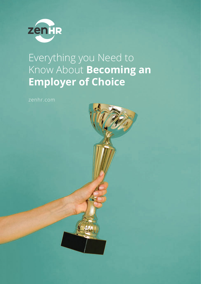

## Everything you Need to Know About **Becoming an Employer of Choice**

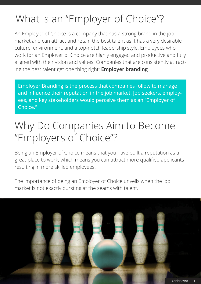# What is an "Employer of Choice"?

An Employer of Choice is a company that has a strong brand in the job market and can attract and retain the best talent as it has a very desirable culture, environment, and a top-notch leadership style. Employees who work for an Employer of Choice are highly engaged and productive and fully aligned with their vision and values. Companies that are consistently attracting the best talent get one thing right: **Employer branding**

Employer Branding is the process that companies follow to manage and influence their reputation in the job market. Job seekers, employees, and key stakeholders would perceive them as an "Employer of Choice."

## Why Do Companies Aim to Become "Employers of Choice"?

Being an Employer of Choice means that you have built a reputation as a great place to work, which means you can attract more qualified applicants resulting in more skilled employees.

The importance of being an Employer of Choice unveils when the job market is not exactly bursting at the seams with talent.

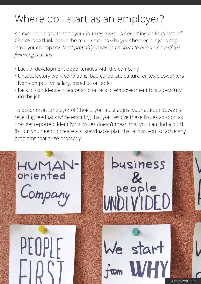# Where do I start as an employer?

An excellent place to start your journey towards becoming an Employer of Choice is to think about the main reasons why your best employees might leave your company. *Most probably, it will come down to one or more of the following reasons:*

- Lack of development opportunities with the company
- Unsatisfactory work conditions, bad corporate culture, or toxic coworkers
- Non-competitive salary, benefits, or perks
- Lack of confidence in leadership or lack of empowerment to successfully do the job

To become an Employer of Choice, you must adjust your attitude towards receiving feedback while ensuring that you resolve these issues as soon as they get reported. Identifying issues doesn't mean that you can find a quick fix, but you need to create a sustavvinable plan that allows you to tackle any problems that arise promptly.

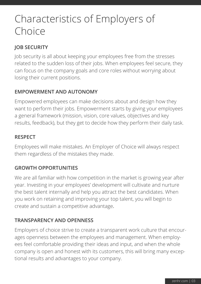## Characteristics of Employers of Choice

## **JOB SECURITY**

Job security is all about keeping your employees free from the stresses related to the sudden loss of their jobs. When employees feel secure, they can focus on the company goals and core roles without worrying about losing their current positions.

### **EMPOWERMENT AND AUTONOMY**

Empowered employees can make decisions about and design how they want to perform their jobs. Empowerment starts by giving your employees a general framework (mission, vision, core values, objectives and key results, feedback), but they get to decide how they perform their daily task.

#### **RESPECT**

Employees will make mistakes. An Employer of Choice will always respect them regardless of the mistakes they made.

### **GROWTH OPPORTUNITIES**

We are all familiar with how competition in the market is growing year after year. Investing in your employees' development will cultivate and nurture the best talent internally and help you attract the best candidates. When you work on retaining and improving your top talent, you will begin to create and sustain a competitive advantage.

### **TRANSPARENCY AND OPENNESS**

Employers of choice strive to create a transparent work culture that encourages openness between the employees and management. When employees feel comfortable providing their ideas and input, and when the whole company is open and honest with its customers, this will bring many exceptional results and advantages to your company.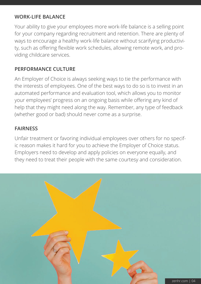#### **WORK-LIFE BALANCE**

Your ability to give your employees more work-life balance is a selling point for your company regarding recruitment and retention. There are plenty of ways to encourage a healthy work-life balance without scarifying productivity, such as offering flexible work schedules, allowing remote work, and providing childcare services.

#### **PERFORMANCE CULTURE**

An Employer of Choice is always seeking ways to tie the performance with the interests of employees. One of the best ways to do so is to invest in an automated performance and evaluation tool, which allows you to monitor your employees' progress on an ongoing basis while offering any kind of help that they might need along the way. Remember, any type of feedback (whether good or bad) should never come as a surprise.

#### **FAIRNESS**

Unfair treatment or favoring individual employees over others for no specific reason makes it hard for you to achieve the Employer of Choice status. Employers need to develop and apply policies on everyone equally, and they need to treat their people with the same courtesy and consideration.

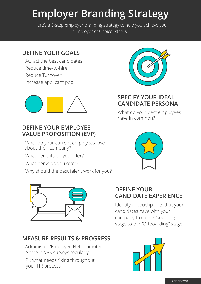# **Employer Branding Strategy**

Here's a 5-step employer branding strategy to help you achieve you "Employer of Choice" status.

## **DEFINE YOUR GOALS**

- Attract the best candidates
- Reduce time-to-hire
- Reduce Turnover
- Increase applicant pool



### **DEFINE YOUR EMPLOYEE VALUE PROPOSITION (EVP)**

- What do your current employees love about their company?
- What benefits do you offer?
- What perks do you offer?
- Why should the best talent work for you?



## **MEASURE RESULTS & PROGRESS**

- Administer "Employee Net Promoter Score" eNPS surveys regularly
- Fix what needs fixing throughout your HR process



## **SPECIFY YOUR IDEAL CANDIDATE PERSONA**

What do your best employees have in common?



## **DEFINE YOUR CANDIDATE EXPERIENCE**

Identify all touchpoints that your candidates have with your company from the "sourcing" stage to the "Offboarding" stage.